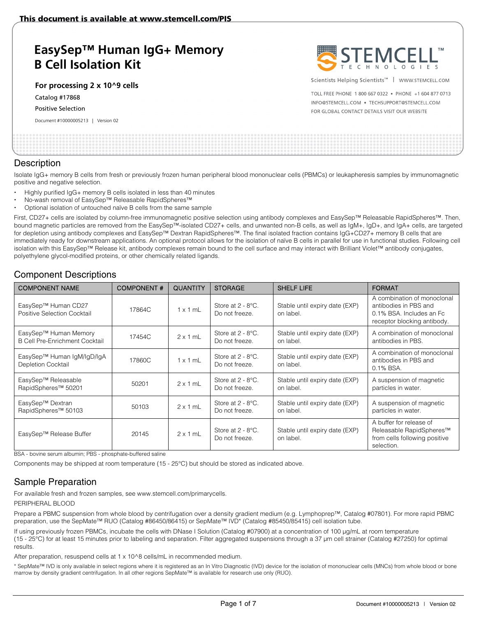# **EasySep™ Human IgG+ Memory B Cell Isolation Kit**

**For processing 2 x 10^9 cells** 

Catalog #17868

Positive Selection

Document #10000005213 | Version 02



Scientists Helping Scientists™ | www.sTEMCELL.COM

TOLL ERFE PHONE 1 800 667 0322 · PHONE +1 604 877 0713 INFO@STEMCELL.COM . TECHSUPPORT@STEMCELL.COM FOR GLOBAL CONTACT DETAILS VISIT OUR WEBSITE

## **Description**

Isolate IgG+ memory B cells from fresh or previously frozen human peripheral blood mononuclear cells (PBMCs) or leukapheresis samples by immunomagnetic positive and negative selection.

- Highly purified IgG+ memory B cells isolated in less than 40 minutes
- No-wash removal of EasySep™ Releasable RapidSpheres™
- Optional isolation of untouched naïve B cells from the same sample

First, CD27+ cells are isolated by column-free immunomagnetic positive selection using antibody complexes and EasySep™ Releasable RapidSpheres™. Then, bound magnetic particles are removed from the EasySep™-isolated CD27+ cells, and unwanted non-B cells, as well as IgM+, IgD+, and IgA+ cells, are targeted for depletion using antibody complexes and EasySep™ Dextran RapidSpheres™. The final isolated fraction contains IgG+CD27+ memory B cells that are immediately ready for downstream applications. An optional protocol allows for the isolation of naïve B cells in parallel for use in functional studies. Following cell isolation with this EasySep™ Release kit, antibody complexes remain bound to the cell surface and may interact with Brilliant Violet™ antibody conjugates, polyethylene glycol-modified proteins, or other chemically related ligands.

## Component Descriptions

| <b>COMPONENT NAME</b>                                          | <b>COMPONENT#</b> | <b>QUANTITY</b> | <b>STORAGE</b>                                     | <b>SHELF LIFE</b>                           | <b>FORMAT</b>                                                                                                   |
|----------------------------------------------------------------|-------------------|-----------------|----------------------------------------------------|---------------------------------------------|-----------------------------------------------------------------------------------------------------------------|
| EasySep™ Human CD27<br>Positive Selection Cocktail             | 17864C            | $1 \times 1$ mL | Store at $2 - 8$ °C.<br>Do not freeze.             | Stable until expiry date (EXP)<br>on label. | A combination of monoclonal<br>antibodies in PBS and<br>0.1% BSA. Includes an Fc<br>receptor blocking antibody. |
| EasySep™ Human Memory<br><b>B Cell Pre-Enrichment Cocktail</b> | 17454C            | $2 \times 1$ mL | Store at $2 - 8$ °C.<br>Do not freeze.             | Stable until expiry date (EXP)<br>on label. | A combination of monoclonal<br>antibodies in PBS.                                                               |
| EasySep™ Human IgM/IgD/IgA<br><b>Depletion Cocktail</b>        | 17860C            | $1 \times 1$ mL | Store at $2 - 8$ °C.<br>Do not freeze.             | Stable until expiry date (EXP)<br>on label. | A combination of monoclonal<br>antibodies in PBS and<br>0.1% BSA.                                               |
| EasySep™ Releasable<br>RapidSpheres <sup>™</sup> 50201         | 50201             | $2 \times 1$ mL | Store at $2 - 8$ <sup>o</sup> C.<br>Do not freeze. | Stable until expiry date (EXP)<br>on label. | A suspension of magnetic<br>particles in water.                                                                 |
| EasySep™ Dextran<br>RapidSpheres <sup>™</sup> 50103            | 50103             | $2 \times 1$ mL | Store at 2 - 8°C.<br>Do not freeze.                | Stable until expiry date (EXP)<br>on label. | A suspension of magnetic<br>particles in water.                                                                 |
| EasySep™ Release Buffer                                        | 20145             | $2 \times 1$ mL | Store at $2 - 8$ °C.<br>Do not freeze.             | Stable until expiry date (EXP)<br>on label. | A buffer for release of<br>Releasable RapidSpheres™<br>from cells following positive<br>selection.              |

BSA - bovine serum albumin; PBS - phosphate-buffered saline

Components may be shipped at room temperature (15 - 25°C) but should be stored as indicated above.

## Sample Preparation

For available fresh and frozen samples, see www.stemcell.com/primarycells.

#### PERIPHERAL BLOOD

Prepare a PBMC suspension from whole blood by centrifugation over a density gradient medium (e.g. Lymphoprep™, Catalog #07801). For more rapid PBMC preparation, use the SepMate™ RUO (Catalog #86450/86415) or SepMate™ IVD\* (Catalog #85450/85415) cell isolation tube.

If using previously frozen PBMCs, incubate the cells with DNase I Solution (Catalog #07900) at a concentration of 100 μg/mL at room temperature (15 - 25°C) for at least 15 minutes prior to labeling and separation. Filter aggregated suspensions through a 37 μm cell strainer (Catalog #27250) for optimal results.

After preparation, resuspend cells at 1 x 10^8 cells/mL in recommended medium.

\* SepMate™ IVD is only available in select regions where it is registered as an In Vitro Diagnostic (IVD) device for the isolation of mononuclear cells (MNCs) from whole blood or bone marrow by density gradient centrifugation. In all other regions SepMate™ is available for research use only (RUO).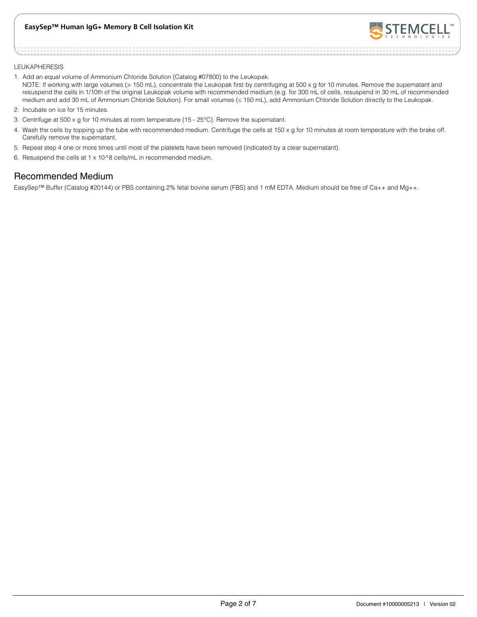### **EasySep™ Human IgG+ Memory B Cell Isolation Kit**



#### LEUKAPHERESIS

- 1. Add an equal volume of Ammonium Chloride Solution (Catalog #07800) to the Leukopak. NOTE: If working with large volumes (> 150 mL), concentrate the Leukopak first by centrifuging at 500 x g for 10 minutes. Remove the supernatant and resuspend the cells in 1/10th of the original Leukopak volume with recommended medium (e.g. for 300 mL of cells, resuspend in 30 mL of recommended medium and add 30 mL of Ammonium Chloride Solution). For small volumes (≤ 150 mL), add Ammonium Chloride Solution directly to the Leukopak.
- 2. Incubate on ice for 15 minutes.
- 3. Centrifuge at 500 x g for 10 minutes at room temperature (15 25°C). Remove the supernatant.
- 4. Wash the cells by topping up the tube with recommended medium. Centrifuge the cells at 150 x g for 10 minutes at room temperature with the brake off. Carefully remove the supernatant.
- 5. Repeat step 4 one or more times until most of the platelets have been removed (indicated by a clear supernatant).
- 6. Resuspend the cells at 1 x 10^8 cells/mL in recommended medium.

## Recommended Medium

EasySep™ Buffer (Catalog #20144) or PBS containing 2% fetal bovine serum (FBS) and 1 mM EDTA. Medium should be free of Ca++ and Mg++.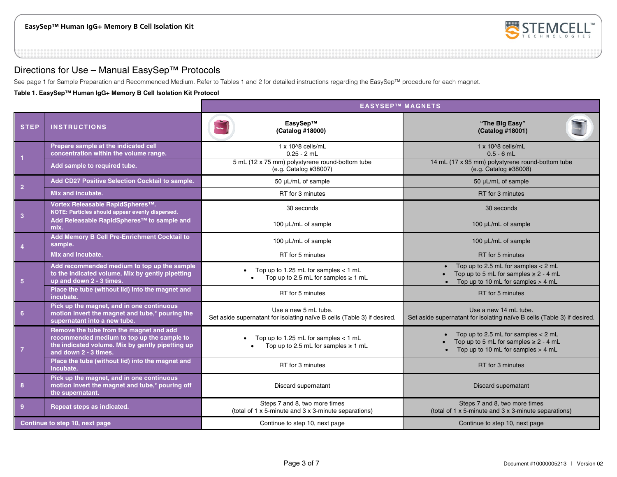

## Directions for Use – Manual EasySep™ Protocols

See page 1 for Sample Preparation and Recommended Medium. Refer to Tables 1 and 2 for detailed instructions regarding the EasySep™ procedure for each magnet.

**Table 1. EasySep™ Human IgG+ Memory B Cell Isolation Kit Protocol** 

|                                                                                                                                                                                      |                                                                                                                              | <b>EASYSEP™ MAGNETS</b>                                                                         |                                                                                                                             |  |  |
|--------------------------------------------------------------------------------------------------------------------------------------------------------------------------------------|------------------------------------------------------------------------------------------------------------------------------|-------------------------------------------------------------------------------------------------|-----------------------------------------------------------------------------------------------------------------------------|--|--|
| <b>STEP</b>                                                                                                                                                                          | <b>INSTRUCTIONS</b>                                                                                                          | EasvSep™<br>(Catalog #18000)                                                                    | "The Big Easy"<br>(Catalog #18001)                                                                                          |  |  |
|                                                                                                                                                                                      | Prepare sample at the indicated cell<br>concentration within the volume range.                                               | 1 x 10^8 cells/mL<br>$0.25 - 2$ mL                                                              | 1 x 10^8 cells/mL<br>$0.5 - 6$ mL                                                                                           |  |  |
|                                                                                                                                                                                      | Add sample to required tube.                                                                                                 | 5 mL (12 x 75 mm) polystyrene round-bottom tube<br>(e.g. Catalog #38007)                        | 14 mL (17 x 95 mm) polystyrene round-bottom tube<br>(e.g. Catalog #38008)                                                   |  |  |
| $\overline{2}$                                                                                                                                                                       | Add CD27 Positive Selection Cocktail to sample.                                                                              | 50 µL/mL of sample                                                                              | 50 µL/mL of sample                                                                                                          |  |  |
|                                                                                                                                                                                      | Mix and incubate.                                                                                                            | RT for 3 minutes                                                                                | RT for 3 minutes                                                                                                            |  |  |
| $\overline{3}$                                                                                                                                                                       | Vortex Releasable RapidSpheres™.<br>NOTE: Particles should appear evenly dispersed.                                          | 30 seconds                                                                                      | 30 seconds                                                                                                                  |  |  |
|                                                                                                                                                                                      | Add Releasable RapidSpheres™ to sample and<br>mix.                                                                           | 100 µL/mL of sample                                                                             | 100 µL/mL of sample                                                                                                         |  |  |
| $\overline{4}$                                                                                                                                                                       | Add Memory B Cell Pre-Enrichment Cocktail to<br>sample.                                                                      | 100 µL/mL of sample                                                                             | 100 µL/mL of sample                                                                                                         |  |  |
|                                                                                                                                                                                      | Mix and incubate.                                                                                                            | RT for 5 minutes                                                                                | RT for 5 minutes                                                                                                            |  |  |
| 5 <sub>5</sub>                                                                                                                                                                       | Add recommended medium to top up the sample<br>to the indicated volume. Mix by gently pipetting<br>up and down 2 - 3 times.  | Top up to 1.25 mL for samples $<$ 1 mL<br>$\bullet$<br>Top up to 2.5 mL for samples $\geq 1$ mL | Top up to 2.5 mL for samples $<$ 2 mL<br>Top up to 5 mL for samples $\geq 2 - 4$ mL<br>Top up to 10 mL for samples $>$ 4 mL |  |  |
|                                                                                                                                                                                      | Place the tube (without lid) into the magnet and<br>incubate.                                                                | RT for 5 minutes                                                                                | RT for 5 minutes                                                                                                            |  |  |
| 6 <sup>6</sup>                                                                                                                                                                       | Pick up the magnet, and in one continuous<br>motion invert the magnet and tube,* pouring the<br>supernatant into a new tube. | Use a new 5 mL tube.<br>Set aside supernatant for isolating naïve B cells (Table 3) if desired. | Use a new 14 mL tube.<br>Set aside supernatant for isolating naïve B cells (Table 3) if desired.                            |  |  |
| Remove the tube from the magnet and add<br>recommended medium to top up the sample to<br>the indicated volume. Mix by gently pipetting up<br>$\overline{7}$<br>and down 2 - 3 times. |                                                                                                                              | Top up to 1.25 mL for samples $<$ 1 mL<br>Top up to 2.5 mL for samples $\geq 1$ mL              | Top up to 2.5 mL for samples $<$ 2 mL<br>Top up to 5 mL for samples $\geq 2 - 4$ mL<br>Top up to 10 mL for samples $>$ 4 mL |  |  |
|                                                                                                                                                                                      | Place the tube (without lid) into the magnet and<br>incubate.                                                                | RT for 3 minutes                                                                                | RT for 3 minutes                                                                                                            |  |  |
| 8                                                                                                                                                                                    | Pick up the magnet, and in one continuous<br>motion invert the magnet and tube,* pouring off<br>the supernatant.             | Discard supernatant                                                                             | <b>Discard supernatant</b>                                                                                                  |  |  |
| $\overline{9}$                                                                                                                                                                       | Repeat steps as indicated.                                                                                                   | Steps 7 and 8, two more times<br>(total of 1 x 5-minute and 3 x 3-minute separations)           | Steps 7 and 8, two more times<br>(total of 1 x 5-minute and 3 x 3-minute separations)                                       |  |  |
|                                                                                                                                                                                      | Continue to step 10, next page                                                                                               | Continue to step 10, next page                                                                  | Continue to step 10, next page                                                                                              |  |  |
|                                                                                                                                                                                      |                                                                                                                              |                                                                                                 |                                                                                                                             |  |  |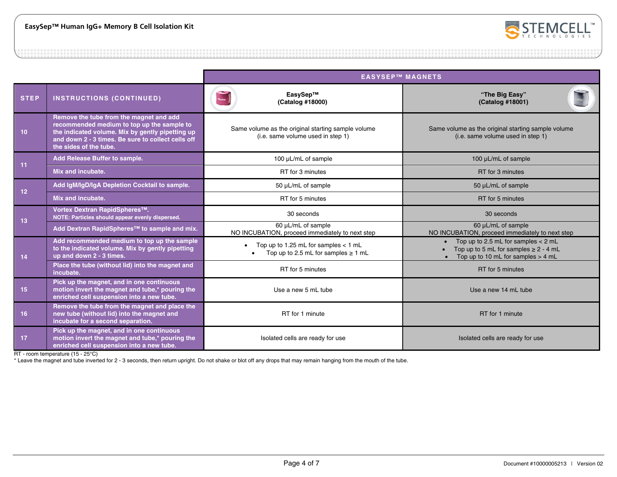

|                                                          |                                                                                                                                                                                                                           | <b>EASYSEP™ MAGNETS</b>                                                                                                                        |                                                                                                                           |  |
|----------------------------------------------------------|---------------------------------------------------------------------------------------------------------------------------------------------------------------------------------------------------------------------------|------------------------------------------------------------------------------------------------------------------------------------------------|---------------------------------------------------------------------------------------------------------------------------|--|
| <b>STEP</b>                                              | <b>INSTRUCTIONS (CONTINUED)</b>                                                                                                                                                                                           | EasySep™<br>(Catalog #18000)                                                                                                                   | "The Big Easy"<br>(Catalog #18001)                                                                                        |  |
| 10 <sub>1</sub>                                          | Remove the tube from the magnet and add<br>recommended medium to top up the sample to<br>the indicated volume. Mix by gently pipetting up<br>and down 2 - 3 times. Be sure to collect cells off<br>the sides of the tube. | Same volume as the original starting sample volume<br>(i.e. same volume used in step 1)                                                        | Same volume as the original starting sample volume<br>(i.e. same volume used in step 1)                                   |  |
| 11                                                       | Add Release Buffer to sample.                                                                                                                                                                                             | 100 µL/mL of sample                                                                                                                            | 100 µL/mL of sample                                                                                                       |  |
|                                                          | Mix and incubate.                                                                                                                                                                                                         | RT for 3 minutes                                                                                                                               | RT for 3 minutes                                                                                                          |  |
| 12                                                       | Add IgM/IgD/IgA Depletion Cocktail to sample.                                                                                                                                                                             | 50 µL/mL of sample                                                                                                                             | 50 µL/mL of sample                                                                                                        |  |
|                                                          | Mix and incubate.                                                                                                                                                                                                         | RT for 5 minutes                                                                                                                               | RT for 5 minutes                                                                                                          |  |
| 13                                                       | Vortex Dextran RapidSpheres™.<br>NOTE: Particles should appear evenly dispersed.                                                                                                                                          | 30 seconds                                                                                                                                     | 30 seconds                                                                                                                |  |
| Add Dextran RapidSpheres <sup>™</sup> to sample and mix. |                                                                                                                                                                                                                           | 60 µL/mL of sample<br>60 µL/mL of sample<br>NO INCUBATION, proceed immediately to next step<br>NO INCUBATION, proceed immediately to next step |                                                                                                                           |  |
| 14                                                       | Add recommended medium to top up the sample<br>to the indicated volume. Mix by gently pipetting<br>up and down 2 - 3 times.                                                                                               | Top up to 1.25 mL for samples $<$ 1 mL<br>Top up to 2.5 mL for samples $\geq 1$ mL                                                             | Top up to 2.5 mL for samples $<$ 2 mL<br>Top up to 5 mL for samples $\geq 2 - 4$ mL<br>Top up to 10 mL for samples > 4 mL |  |
|                                                          | Place the tube (without lid) into the magnet and<br>incubate.                                                                                                                                                             | RT for 5 minutes                                                                                                                               | RT for 5 minutes                                                                                                          |  |
| 15                                                       | Pick up the magnet, and in one continuous<br>motion invert the magnet and tube,* pouring the<br>enriched cell suspension into a new tube.                                                                                 | Use a new 5 mL tube<br>Use a new 14 mL tube                                                                                                    |                                                                                                                           |  |
| 16                                                       | Remove the tube from the magnet and place the<br>new tube (without lid) into the magnet and<br>incubate for a second separation.                                                                                          | RT for 1 minute<br>RT for 1 minute                                                                                                             |                                                                                                                           |  |
| 17                                                       | Pick up the magnet, and in one continuous<br>motion invert the magnet and tube,* pouring the<br>enriched cell suspension into a new tube.                                                                                 | Isolated cells are ready for use<br>Isolated cells are ready for use                                                                           |                                                                                                                           |  |

RT - room temperature (15 - 25°C)

\* Leave the magnet and tube inverted for 2 - 3 seconds, then return upright. Do not shake or blot off any drops that may remain hanging from the mouth of the tube.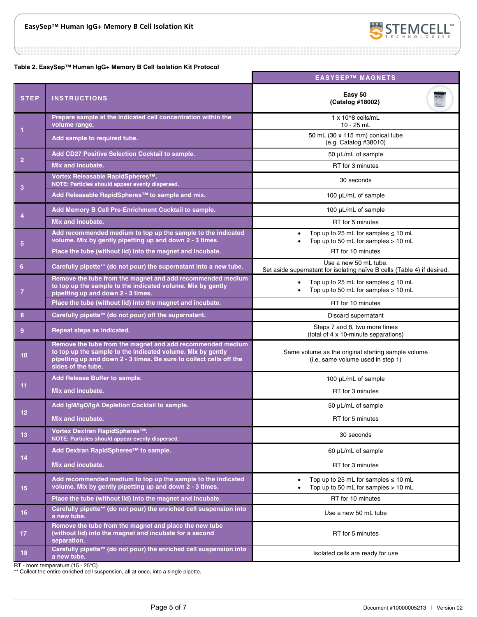

222222222222223

**Table 2. EasySep™ Human IgG+ Memory B Cell Isolation Kit Protocol** 

|                 |                                                                                                                                                                                                                        | <b>EASYSEP™ MAGNETS</b>                                                                                   |  |  |
|-----------------|------------------------------------------------------------------------------------------------------------------------------------------------------------------------------------------------------------------------|-----------------------------------------------------------------------------------------------------------|--|--|
| <b>STEP</b>     | <b>INSTRUCTIONS</b>                                                                                                                                                                                                    | Easy 50<br>(Catalog #18002)                                                                               |  |  |
|                 | Prepare sample at the indicated cell concentration within the<br>volume range.                                                                                                                                         | 1 x 10^8 cells/mL<br>$10 - 25$ mL                                                                         |  |  |
| 1               | Add sample to required tube.                                                                                                                                                                                           | 50 mL (30 x 115 mm) conical tube<br>(e.g. Catalog #38010)                                                 |  |  |
|                 | Add CD27 Positive Selection Cocktail to sample.                                                                                                                                                                        | 50 µL/mL of sample                                                                                        |  |  |
| $\overline{2}$  | Mix and incubate.                                                                                                                                                                                                      | RT for 3 minutes                                                                                          |  |  |
| 3               | Vortex Releasable RapidSpheres™.<br>NOTE: Particles should appear evenly dispersed.                                                                                                                                    | 30 seconds                                                                                                |  |  |
|                 | Add Releasable RapidSpheres™ to sample and mix.                                                                                                                                                                        | 100 µL/mL of sample                                                                                       |  |  |
| $\overline{4}$  | Add Memory B Cell Pre-Enrichment Cocktail to sample.                                                                                                                                                                   | 100 µL/mL of sample                                                                                       |  |  |
|                 | Mix and incubate.                                                                                                                                                                                                      | RT for 5 minutes                                                                                          |  |  |
| $5\phantom{.0}$ | Add recommended medium to top up the sample to the indicated<br>volume. Mix by gently pipetting up and down 2 - 3 times.                                                                                               | Top up to 25 mL for samples $\leq 10$ mL<br>$\bullet$<br>Top up to 50 mL for samples > 10 mL<br>$\bullet$ |  |  |
|                 | Place the tube (without lid) into the magnet and incubate.                                                                                                                                                             | RT for 10 minutes                                                                                         |  |  |
| 6               | Carefully pipette** (do not pour) the supernatant into a new tube.                                                                                                                                                     | Use a new 50 mL tube.<br>Set aside supernatant for isolating naïve B cells (Table 4) if desired.          |  |  |
| $\overline{7}$  | Remove the tube from the magnet and add recommended medium<br>to top up the sample to the indicated volume. Mix by gently<br>pipetting up and down 2 - 3 times.                                                        | Top up to 25 mL for samples $\leq 10$ mL<br>Top up to 50 mL for samples > 10 mL                           |  |  |
|                 | Place the tube (without lid) into the magnet and incubate.                                                                                                                                                             | RT for 10 minutes                                                                                         |  |  |
| 8               | Carefully pipette** (do not pour) off the supernatant.                                                                                                                                                                 | Discard supernatant                                                                                       |  |  |
| 9               | Repeat steps as indicated.                                                                                                                                                                                             | Steps 7 and 8, two more times<br>(total of 4 x 10-minute separations)                                     |  |  |
| 10 <sub>1</sub> | Remove the tube from the magnet and add recommended medium<br>to top up the sample to the indicated volume. Mix by gently<br>pipetting up and down 2 - 3 times. Be sure to collect cells off the<br>sides of the tube. | Same volume as the original starting sample volume<br>(i.e. same volume used in step 1)                   |  |  |
| 11              | Add Release Buffer to sample.                                                                                                                                                                                          | 100 µL/mL of sample                                                                                       |  |  |
|                 | <b>Mix and incubate.</b>                                                                                                                                                                                               | RT for 3 minutes                                                                                          |  |  |
| 12 <sub>2</sub> | Add IgM/IgD/IgA Depletion Cocktail to sample.                                                                                                                                                                          | 50 µL/mL of sample                                                                                        |  |  |
|                 | Mix and incubate.                                                                                                                                                                                                      | RT for 5 minutes                                                                                          |  |  |
| 13              | Vortex Dextran RapidSpheres™.<br>NOTE: Particles should appear evenly dispersed.                                                                                                                                       | 30 seconds                                                                                                |  |  |
| 14              | Add Dextran RapidSpheres™ to sample.                                                                                                                                                                                   | 60 µL/mL of sample                                                                                        |  |  |
|                 | Mix and incubate.                                                                                                                                                                                                      | RT for 3 minutes                                                                                          |  |  |
| 15              | Add recommended medium to top up the sample to the indicated<br>volume. Mix by gently pipetting up and down 2 - 3 times.                                                                                               | Top up to 25 mL for samples $\leq 10$ mL<br>Top up to 50 mL for samples $> 10$ mL                         |  |  |
|                 | Place the tube (without lid) into the magnet and incubate.                                                                                                                                                             | RT for 10 minutes                                                                                         |  |  |
| 16              | Carefully pipette** (do not pour) the enriched cell suspension into<br>a new tube.                                                                                                                                     | Use a new 50 mL tube                                                                                      |  |  |
| 17 <sub>2</sub> | Remove the tube from the magnet and place the new tube<br>(without lid) into the magnet and incubate for a second<br>separation.                                                                                       | RT for 5 minutes                                                                                          |  |  |
| 18              | Carefully pipette** (do not pour) the enriched cell suspension into<br>a new tube.                                                                                                                                     | Isolated cells are ready for use                                                                          |  |  |

RT - room temperature (15 - 25°C)

\*\* Collect the entire enriched cell suspension, all at once, into a single pipette.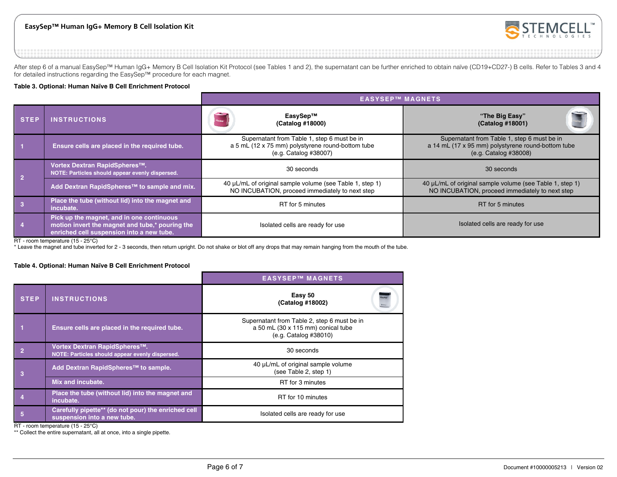### **EasySep™ Human IgG+ Memory B Cell Isolation Kit**



After step 6 of a manual EasySep™ Human IgG+ Memory B Cell Isolation Kit Protocol (see Tables 1 and 2), the supernatant can be further enriched to obtain naïve (CD19+CD27-) B cells. Refer to Tables 3 and 4 for detailed instructions regarding the EasySep™ procedure for each magnet.

#### **Table 3. Optional: Human Naïve B Cell Enrichment Protocol**

|                |                                                                                                                                           | <b>EASYSEP™ MAGNETS</b>                                                                                                   |                                                                                                                            |  |
|----------------|-------------------------------------------------------------------------------------------------------------------------------------------|---------------------------------------------------------------------------------------------------------------------------|----------------------------------------------------------------------------------------------------------------------------|--|
| <b>STEP</b>    | <b>INSTRUCTIONS</b>                                                                                                                       | EasySep™<br>(Catalog #18000)                                                                                              | "The Big Easy"<br>(Catalog #18001)                                                                                         |  |
| - 1            | Ensure cells are placed in the required tube.                                                                                             | Supernatant from Table 1, step 6 must be in<br>a 5 mL (12 x 75 mm) polystyrene round-bottom tube<br>(e.g. Catalog #38007) | Supernatant from Table 1, step 6 must be in<br>a 14 mL (17 x 95 mm) polystyrene round-bottom tube<br>(e.g. Catalog #38008) |  |
| $\vert$ 2      | Vortex Dextran RapidSpheres™.<br>NOTE: Particles should appear evenly dispersed.                                                          | 30 seconds                                                                                                                | 30 seconds                                                                                                                 |  |
|                | Add Dextran RapidSpheres™ to sample and mix.                                                                                              | 40 µL/mL of original sample volume (see Table 1, step 1)<br>NO INCUBATION, proceed immediately to next step               | 40 µL/mL of original sample volume (see Table 1, step 1)<br>NO INCUBATION, proceed immediately to next step                |  |
| $\vert$ 3      | Place the tube (without lid) into the magnet and<br>incubate.                                                                             | RT for 5 minutes                                                                                                          | RT for 5 minutes                                                                                                           |  |
| $\blacksquare$ | Pick up the magnet, and in one continuous<br>motion invert the magnet and tube,* pouring the<br>enriched cell suspension into a new tube. | Isolated cells are ready for use<br>Isolated cells are ready for use                                                      |                                                                                                                            |  |

RT - room temperature (15 - 25°C)

\* Leave the magnet and tube inverted for 2 - 3 seconds, then return upright. Do not shake or blot off any drops that may remain hanging from the mouth of the tube.

#### **Table 4. Optional: Human Naïve B Cell Enrichment Protocol**

|                                                            |                                                                                    | <b>EASYSEP™ MAGNETS</b>                                                                                    |  |
|------------------------------------------------------------|------------------------------------------------------------------------------------|------------------------------------------------------------------------------------------------------------|--|
| <b>STEP</b>                                                | <b>INSTRUCTIONS</b>                                                                | Easy 50<br>(Catalog #18002)                                                                                |  |
|                                                            | Ensure cells are placed in the required tube.                                      | Supernatant from Table 2, step 6 must be in<br>a 50 mL (30 x 115 mm) conical tube<br>(e.g. Catalog #38010) |  |
| $\overline{2}$                                             | Vortex Dextran RapidSpheres™.<br>NOTE: Particles should appear evenly dispersed.   | 30 seconds                                                                                                 |  |
| 3                                                          | Add Dextran RapidSpheres™ to sample.                                               | 40 µL/mL of original sample volume<br>(see Table 2, step 1)                                                |  |
|                                                            | Mix and incubate.                                                                  | RT for 3 minutes                                                                                           |  |
|                                                            | Place the tube (without lid) into the magnet and<br>incubate.                      | RT for 10 minutes                                                                                          |  |
| 5                                                          | Carefully pipette** (do not pour) the enriched cell<br>suspension into a new tube. | Isolated cells are ready for use                                                                           |  |
| n <sub>T</sub><br>$22.42$ $12.42$ $12.42$ $12.47$ $12.070$ |                                                                                    |                                                                                                            |  |

RT - room temperature (15 - 25°C)

\*\* Collect the entire supernatant, all at once, into a single pipette.